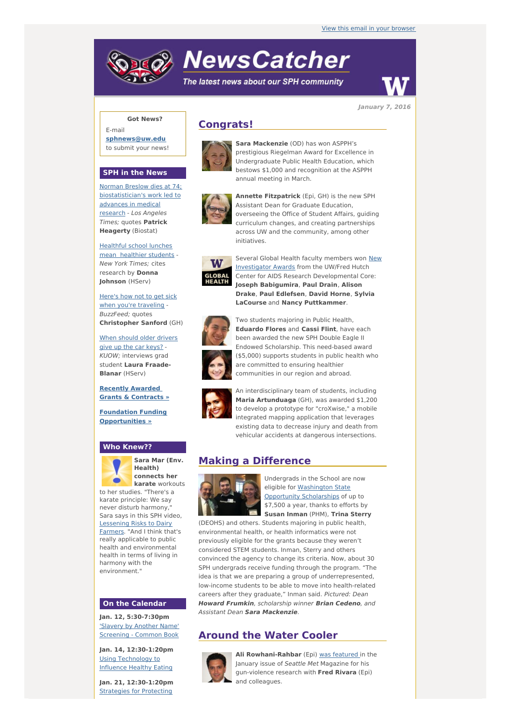# **NewsCatcher**

The latest news about our SPH community



**January 7, 2016**

## **Got News?**

E-mail **[sphnews@uw.edu](mailto:sphnews@uw.edu)** to submit your news!

#### **SPH in the News**

Norman Breslow dies at 74; [biostatistician's](http://engage.washington.edu/site/R?i=PNcx33SME1R-bMgjOcqJNA) work led to advances in medical research - Los Angeles Times; quotes **Patrick Heagerty** (Biostat)

[Healthful](http://engage.washington.edu/site/R?i=ZHzeHMdRxjkjpl6yoC7V3g) school lunches mean healthier students - New York Times; cites research by **Donna Johnson** (HServ)

Here's how not to get sick when you're [traveling](http://engage.washington.edu/site/R?i=g6af3Dul79GT2gP33RqXFw) -BuzzFeed; quotes **Christopher Sanford** (GH)

When should older [drivers](http://engage.washington.edu/site/R?i=spBH4vGljPi6KKHTtLFWuw) give up the car keys? - KUOW; interviews grad student **Laura Fraade-Blanar** (HServ)

**Recently [Awarded](http://engage.washington.edu/site/R?i=YLoozGULIIemt_iNMiFXjA) Grants & Contracts »**

**Foundation Funding [Opportunities](http://engage.washington.edu/site/R?i=4UTQ6dIuldyyCk8mh0nn4A) »**

## **Who Knew??**



**Sara Mar (Env. Health) connects her karate** workouts

to her studies. "There's a karate principle: We say never disturb harmony," Sara says in this SPH video, [Lessening](http://engage.washington.edu/site/R?i=xoE9Y6v_nQ1WXVRUCtYpFg) Risks to Dairy Farmers. "And I think that's really applicable to public health and environmental health in terms of living in harmony with the environment."

#### **On the Calendar**

**Jan. 12, 5:30-7:30pm** 'Slavery by Another Name' [Screening](http://engage.washington.edu/site/R?i=E4rt9QP6mbAkYLIC8YglsQ) - Common Book

**Jan. 14, 12:30-1:20pm** Using [Technology](http://engage.washington.edu/site/R?i=Xrq_y2ypVcxoofUbLC6CCA) to Influence Healthy Eating

**Jan. 21, 12:30-1:20pm** Strategies for Protecting

## **Congrats!**



**Sara Mackenzie** (OD) has won ASPPH's prestigious Riegelman Award for Excellence in Undergraduate Public Health Education, which bestows \$1,000 and recognition at the ASPPH annual meeting in March.



**Annette Fitzpatrick** (Epi, GH) is the new SPH Assistant Dean for Graduate Education, overseeing the Office of Student Affairs, guiding curriculum changes, and creating partnerships across UW and the community, among other initiatives.



Several Global Health faculty members won New [Investigator](http://engage.washington.edu/site/R?i=NzyYkYNAGD6b5jzef9l77g) Awards from the UW/Fred Hutch Center for AIDS Research Developmental Core: **Joseph Babigumira**, **Paul Drain**, **Alison Drake**, **Paul Edlefsen**, **David Horne**, **Sylvia LaCourse** and **Nancy Puttkammer**.



Two students majoring in Public Health, **Eduardo Flores** and **Cassi Flint**, have each been awarded the new SPH Double Eagle II Endowed Scholarship. This need-based award (\$5,000) supports students in public health who are committed to ensuring healthier communities in our region and abroad.



An interdisciplinary team of students, including **Maria Artunduaga** (GH), was awarded \$1,200 to develop a prototype for "croXwise," a mobile integrated mapping application that leverages existing data to decrease injury and death from vehicular accidents at dangerous intersections.

## **Making a Difference**



Undergrads in the School are now eligible for [Washington](http://engage.washington.edu/site/R?i=XxV8LPXiCqYqJ7DYzIG7Zw) State Opportunity Scholarships of up to \$7,500 a year, thanks to efforts by **Susan Inman** (PHM), **Trina Sterry**

(DEOHS) and others. Students majoring in public health, environmental health, or health informatics were not previously eligible for the grants because they weren't considered STEM students. Inman, Sterry and others convinced the agency to change its criteria. Now, about 30 SPH undergrads receive funding through the program. "The idea is that we are preparing a group of underrepresented, low-income students to be able to move into health-related careers after they graduate," Inman said. Pictured: Dean **Howard Frumkin**, scholarship winner **Brian Cedeno**, and Assistant Dean **Sara Mackenzie**.

## **Around the Water Cooler**



**Ali Rowhani-Rahbar** (Epi) was [featured](http://engage.washington.edu/site/R?i=4GFnI2asPDqjC9A1NNIc-A) in the January issue of Seattle Met Magazine for his gun-violence research with **Fred Rivara** (Epi) and colleagues.